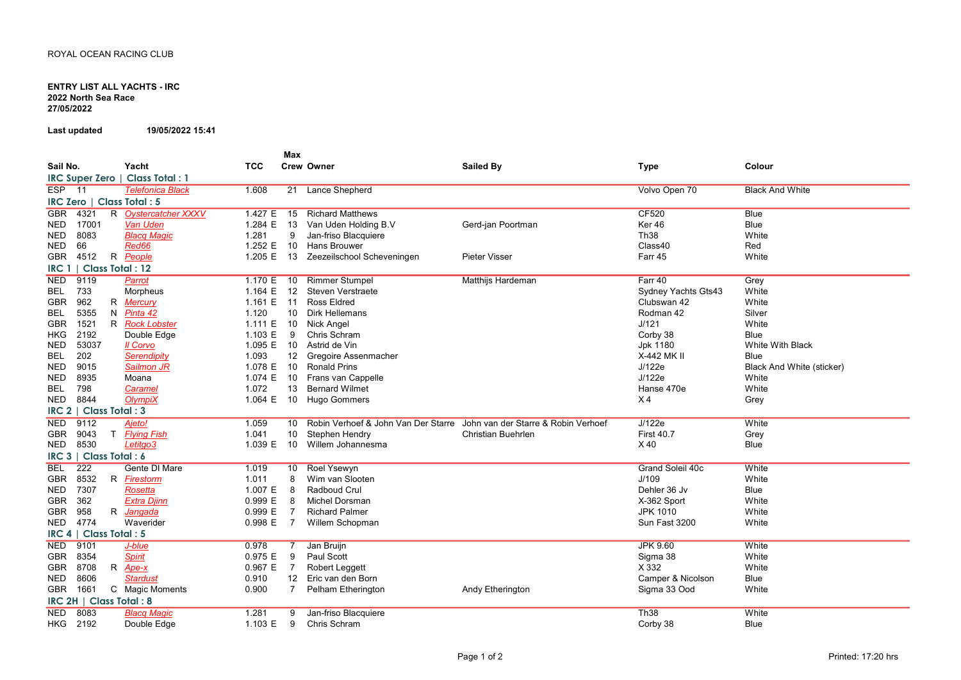## ENTRY LIST ALL YACHTS - IRC 2022 North Sea Race 27/05/2022

Last updated 19/05/2022 15:41

|                                            |                         |            | Max            |                                     |                                     |                         |                                  |  |  |  |
|--------------------------------------------|-------------------------|------------|----------------|-------------------------------------|-------------------------------------|-------------------------|----------------------------------|--|--|--|
| Sail No.                                   | Yacht                   | <b>TCC</b> |                | <b>Crew Owner</b>                   | <b>Sailed By</b>                    | <b>Type</b>             | Colour                           |  |  |  |
| IRC Super Zero                             | <b>Class Total: 1</b>   |            |                |                                     |                                     |                         |                                  |  |  |  |
| $ESP$ 11                                   | <b>Telefonica Black</b> | 1.608      | 21             | <b>Lance Shepherd</b>               |                                     | Volvo Open 70           | <b>Black And White</b>           |  |  |  |
| <b>IRC Zero</b>  <br>Class Total: 5        |                         |            |                |                                     |                                     |                         |                                  |  |  |  |
| 4321<br><b>GBR</b>                         | R Oystercatcher XXXV    | 1.427 E    | 15             | <b>Richard Matthews</b>             |                                     | <b>CF520</b>            | Blue                             |  |  |  |
| 17001<br><b>NED</b>                        | Van Uden                | 1.284 E    | 13             | Van Uden Holding B.V                | Gerd-jan Poortman                   | Ker 46                  | <b>Blue</b>                      |  |  |  |
| 8083<br><b>NED</b>                         | <b>Blacq Magic</b>      | 1.281      | 9              | Jan-friso Blacquiere                |                                     | <b>Th38</b>             | White                            |  |  |  |
| 66<br><b>NED</b>                           | Red66                   | 1.252 E    | 10             | <b>Hans Brouwer</b>                 |                                     | Class40                 | Red                              |  |  |  |
| <b>GBR</b><br>4512                         | R People                | 1.205 E    | 13             | Zeezeilschool Scheveningen          | <b>Pieter Visser</b>                | Farr 45                 | White                            |  |  |  |
| <b>Class Total: 12</b><br>IRC <sub>1</sub> |                         |            |                |                                     |                                     |                         |                                  |  |  |  |
| <b>NED</b><br>9119                         | Parrot                  | 1.170 E    | 10             | <b>Rimmer Stumpel</b>               | Matthijs Hardeman                   | Farr 40                 | Grey                             |  |  |  |
| 733<br>BEL                                 | Morpheus                | 1.164 $E$  | 12             | Steven Verstraete                   |                                     | Sydney Yachts Gts43     | White                            |  |  |  |
| 962<br><b>GBR</b>                          | R Mercury               | 1.161 E    | -11            | <b>Ross Eldred</b>                  |                                     | Clubswan 42             | White                            |  |  |  |
| 5355<br><b>BEL</b>                         | N Pinta 42              | 1.120      | 10             | <b>Dirk Hellemans</b>               |                                     | Rodman 42               | Silver                           |  |  |  |
| <b>GBR</b><br>1521                         | R Rock Lobster          | 1.111 E    | 10             | Nick Angel                          |                                     | J/121                   | White                            |  |  |  |
| 2192<br><b>HKG</b>                         | Double Edge             | 1.103 E    | 9              | Chris Schram                        |                                     | Corby 38                | Blue                             |  |  |  |
| 53037<br><b>NED</b>                        | Il Corvo                | 1.095 E    | 10             | Astrid de Vin                       |                                     | Jpk 1180                | White With Black                 |  |  |  |
| 202<br>BEL                                 | Serendipity             | 1.093      | 12             | Gregoire Assenmacher                |                                     | X-442 MK II             | <b>Blue</b>                      |  |  |  |
| 9015<br><b>NED</b>                         | Sailmon JR              | 1.078 E    | 10             | <b>Ronald Prins</b>                 |                                     | J/122e                  | <b>Black And White (sticker)</b> |  |  |  |
| 8935<br><b>NED</b>                         | Moana                   | 1.074 E    | 10             | Frans van Cappelle                  |                                     | J/122e                  | White                            |  |  |  |
| 798<br>BEL                                 | Caramel                 | 1.072      | 13             | <b>Bernard Wilmet</b>               |                                     | Hanse 470e              | White                            |  |  |  |
| 8844<br><b>NED</b>                         | OlvmpiX                 | 1.064 E    | 10             | Hugo Gommers                        |                                     | X <sub>4</sub>          | Grey                             |  |  |  |
| <b>Class Total: 3</b><br>IRC <sub>2</sub>  |                         |            |                |                                     |                                     |                         |                                  |  |  |  |
| 9112<br><b>NED</b>                         | Ajeto!                  | 1.059      | 10             | Robin Verhoef & John Van Der Starre | John van der Starre & Robin Verhoef | J/122e                  | White                            |  |  |  |
| <b>GBR</b><br>9043<br>T.                   | <b>Flying Fish</b>      | 1.041      | 10             | Stephen Hendry                      | Christian Buehrlen                  | <b>First 40.7</b>       | Grey                             |  |  |  |
| 8530<br><b>NED</b>                         | Letitgo3                | 1.039 E    | 10             | Willem Johannesma                   |                                     | X40                     | <b>Blue</b>                      |  |  |  |
| Class Total: 6<br>IRC <sub>3</sub>         |                         |            |                |                                     |                                     |                         |                                  |  |  |  |
| 222<br><b>BEL</b>                          | <b>Gente DI Mare</b>    | 1.019      | 10             | <b>Roel Ysewyn</b>                  |                                     | <b>Grand Soleil 40c</b> | White                            |  |  |  |
| 8532<br><b>GBR</b>                         | R Firestorm             | 1.011      | 8              | Wim van Slooten                     |                                     | J/109                   | White                            |  |  |  |
| 7307<br><b>NED</b>                         | Rosetta                 | 1.007 E    | 8              | Radboud Crul                        |                                     | Dehler 36 Jv            | <b>Blue</b>                      |  |  |  |
| 362<br><b>GBR</b>                          | <b>Extra Djinn</b>      | 0.999 E    | 8              | Michel Dorsman                      |                                     | X-362 Sport             | White                            |  |  |  |
| <b>GBR</b><br>958                          | R Jangada               | 0.999 E    | $\overline{7}$ | <b>Richard Palmer</b>               |                                     | <b>JPK 1010</b>         | White                            |  |  |  |
| 4774<br><b>NED</b>                         | Waverider               | 0.998 E    | $\overline{7}$ | Willem Schopman                     |                                     | Sun Fast 3200           | White                            |  |  |  |
| <b>Class Total: 5</b><br>IRC <sub>4</sub>  |                         |            |                |                                     |                                     |                         |                                  |  |  |  |
| 9101<br><b>NED</b>                         | J-blue                  | 0.978      |                | Jan Bruijn                          |                                     | <b>JPK 9.60</b>         | White                            |  |  |  |
| 8354<br><b>GBR</b>                         | <b>Spirit</b>           | 0.975 E    | 9              | Paul Scott                          |                                     | Sigma 38                | White                            |  |  |  |
| 8708<br><b>GBR</b>                         | R Ape-x                 | 0.967 E    | $\overline{7}$ | Robert Leggett                      |                                     | X 332                   | White                            |  |  |  |
| <b>NED</b><br>8606                         | <b>Stardust</b>         | 0.910      | 12             | Eric van den Born                   |                                     | Camper & Nicolson       | Blue                             |  |  |  |
| <b>GBR</b><br>1661                         | C Magic Moments         | 0.900      | $\overline{7}$ | Pelham Etherington                  | Andy Etherington                    | Sigma 33 Ood            | White                            |  |  |  |
| IRC 2H   Class Total: 8                    |                         |            |                |                                     |                                     |                         |                                  |  |  |  |
| <b>NED</b><br>8083                         | <b>Blacq Magic</b>      | 1.281      | 9              | Jan-friso Blacquiere                |                                     | Th38                    | White                            |  |  |  |
| <b>HKG</b><br>2192                         | Double Edge             | 1.103 E    | 9              | Chris Schram                        |                                     | Corby 38                | <b>Blue</b>                      |  |  |  |